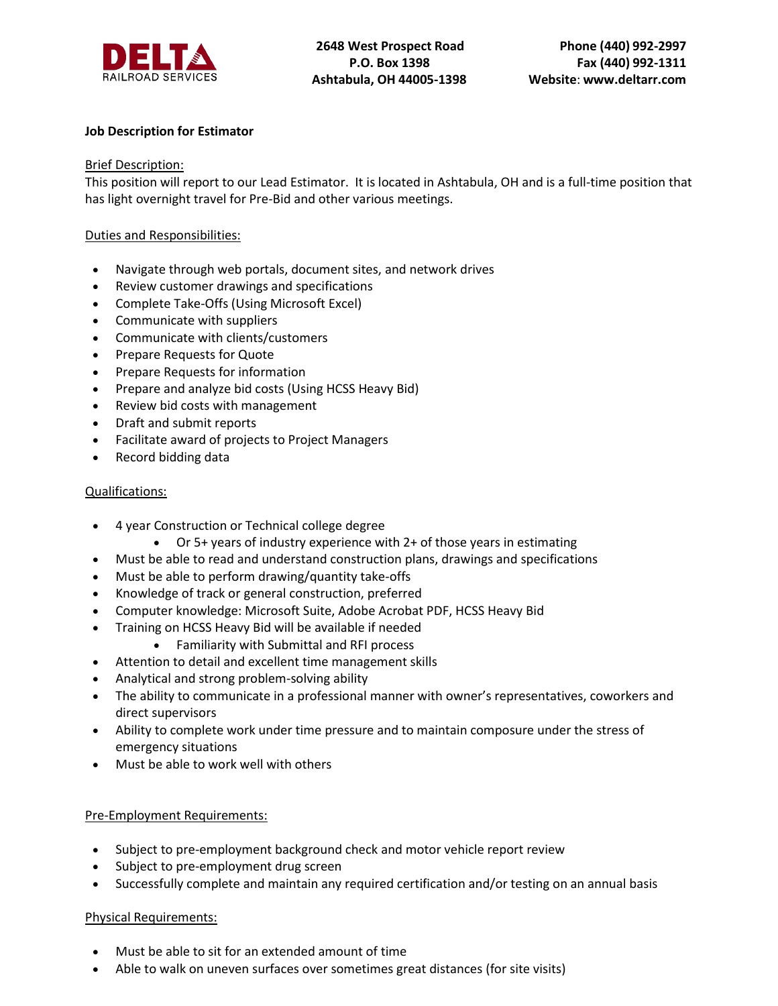

# **Job Description for Estimator**

## Brief Description:

This position will report to our Lead Estimator. It is located in Ashtabula, OH and is a full-time position that has light overnight travel for Pre-Bid and other various meetings.

## Duties and Responsibilities:

- Navigate through web portals, document sites, and network drives
- Review customer drawings and specifications
- Complete Take-Offs (Using Microsoft Excel)
- Communicate with suppliers
- Communicate with clients/customers
- Prepare Requests for Quote
- Prepare Requests for information
- Prepare and analyze bid costs (Using HCSS Heavy Bid)
- Review bid costs with management
- Draft and submit reports
- Facilitate award of projects to Project Managers
- Record bidding data

## Qualifications:

- 4 year Construction or Technical college degree
	- Or 5+ years of industry experience with 2+ of those years in estimating
- Must be able to read and understand construction plans, drawings and specifications
- Must be able to perform drawing/quantity take-offs
- Knowledge of track or general construction, preferred
- Computer knowledge: Microsoft Suite, Adobe Acrobat PDF, HCSS Heavy Bid
- Training on HCSS Heavy Bid will be available if needed
	- Familiarity with Submittal and RFI process
- Attention to detail and excellent time management skills
- Analytical and strong problem-solving ability
- The ability to communicate in a professional manner with owner's representatives, coworkers and direct supervisors
- Ability to complete work under time pressure and to maintain composure under the stress of emergency situations
- Must be able to work well with others

## Pre-Employment Requirements:

- Subject to pre-employment background check and motor vehicle report review
- Subject to pre-employment drug screen
- Successfully complete and maintain any required certification and/or testing on an annual basis

## Physical Requirements:

- Must be able to sit for an extended amount of time
- Able to walk on uneven surfaces over sometimes great distances (for site visits)